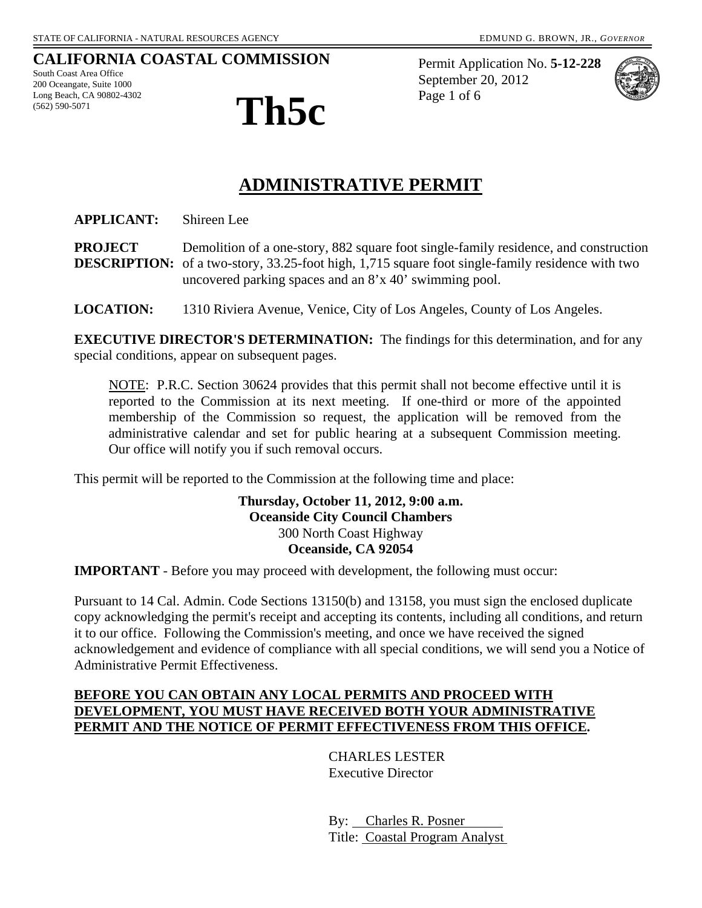### **CALIFORNIA COASTAL COMMISSION**

South Coast Area Office 200 Oceangate, Suite 1000 Long Beach, CA 90802-4302



Permit Application No. **5-12-228** September 20, 2012 Page 1 of 6



# **ADMINISTRATIVE PERMIT**

**APPLICANT:** Shireen Lee

**PROJECT** Demolition of a one-story, 882 square foot single-family residence, and construction **DESCRIPTION:** of a two-story, 33.25-foot high, 1,715 square foot single-family residence with two uncovered parking spaces and an 8'x 40' swimming pool.

**LOCATION:** 1310 Riviera Avenue, Venice, City of Los Angeles, County of Los Angeles.

**EXECUTIVE DIRECTOR'S DETERMINATION:** The findings for this determination, and for any special conditions, appear on subsequent pages.

NOTE: P.R.C. Section 30624 provides that this permit shall not become effective until it is reported to the Commission at its next meeting. If one-third or more of the appointed membership of the Commission so request, the application will be removed from the administrative calendar and set for public hearing at a subsequent Commission meeting. Our office will notify you if such removal occurs.

This permit will be reported to the Commission at the following time and place:

#### **Thursday, October 11, 2012, 9:00 a.m. Oceanside City Council Chambers** 300 North Coast Highway **Oceanside, CA 92054**

**IMPORTANT** - Before you may proceed with development, the following must occur:

Pursuant to 14 Cal. Admin. Code Sections 13150(b) and 13158, you must sign the enclosed duplicate copy acknowledging the permit's receipt and accepting its contents, including all conditions, and return it to our office. Following the Commission's meeting, and once we have received the signed acknowledgement and evidence of compliance with all special conditions, we will send you a Notice of Administrative Permit Effectiveness.

#### **BEFORE YOU CAN OBTAIN ANY LOCAL PERMITS AND PROCEED WITH DEVELOPMENT, YOU MUST HAVE RECEIVED BOTH YOUR ADMINISTRATIVE PERMIT AND THE NOTICE OF PERMIT EFFECTIVENESS FROM THIS OFFICE.**

 CHARLES LESTER Executive Director

 By: Charles R. Posner Title: Coastal Program Analyst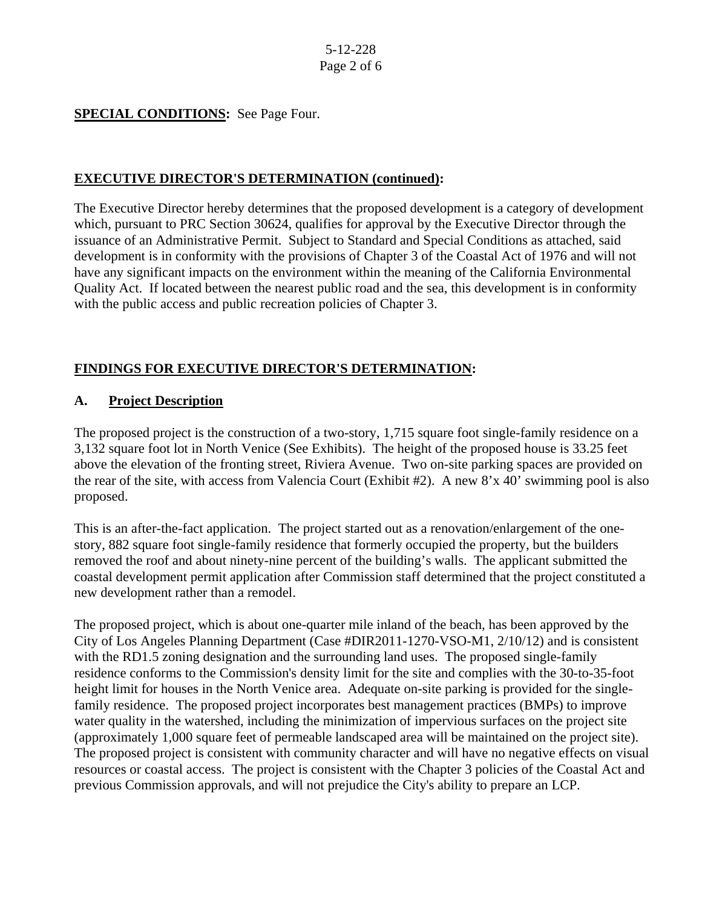#### **SPECIAL CONDITIONS:** See Page Four.

#### **EXECUTIVE DIRECTOR'S DETERMINATION (continued):**

The Executive Director hereby determines that the proposed development is a category of development which, pursuant to PRC Section 30624, qualifies for approval by the Executive Director through the issuance of an Administrative Permit. Subject to Standard and Special Conditions as attached, said development is in conformity with the provisions of Chapter 3 of the Coastal Act of 1976 and will not have any significant impacts on the environment within the meaning of the California Environmental Quality Act. If located between the nearest public road and the sea, this development is in conformity with the public access and public recreation policies of Chapter 3.

#### **FINDINGS FOR EXECUTIVE DIRECTOR'S DETERMINATION:**

#### **A. Project Description**

The proposed project is the construction of a two-story, 1,715 square foot single-family residence on a 3,132 square foot lot in North Venice (See Exhibits). The height of the proposed house is 33.25 feet above the elevation of the fronting street, Riviera Avenue. Two on-site parking spaces are provided on the rear of the site, with access from Valencia Court (Exhibit #2). A new 8'x 40' swimming pool is also proposed.

This is an after-the-fact application. The project started out as a renovation/enlargement of the onestory, 882 square foot single-family residence that formerly occupied the property, but the builders removed the roof and about ninety-nine percent of the building's walls. The applicant submitted the coastal development permit application after Commission staff determined that the project constituted a new development rather than a remodel.

The proposed project, which is about one-quarter mile inland of the beach, has been approved by the City of Los Angeles Planning Department (Case #DIR2011-1270-VSO-M1, 2/10/12) and is consistent with the RD1.5 zoning designation and the surrounding land uses. The proposed single-family residence conforms to the Commission's density limit for the site and complies with the 30-to-35-foot height limit for houses in the North Venice area. Adequate on-site parking is provided for the singlefamily residence. The proposed project incorporates best management practices (BMPs) to improve water quality in the watershed, including the minimization of impervious surfaces on the project site (approximately 1,000 square feet of permeable landscaped area will be maintained on the project site). The proposed project is consistent with community character and will have no negative effects on visual resources or coastal access. The project is consistent with the Chapter 3 policies of the Coastal Act and previous Commission approvals, and will not prejudice the City's ability to prepare an LCP.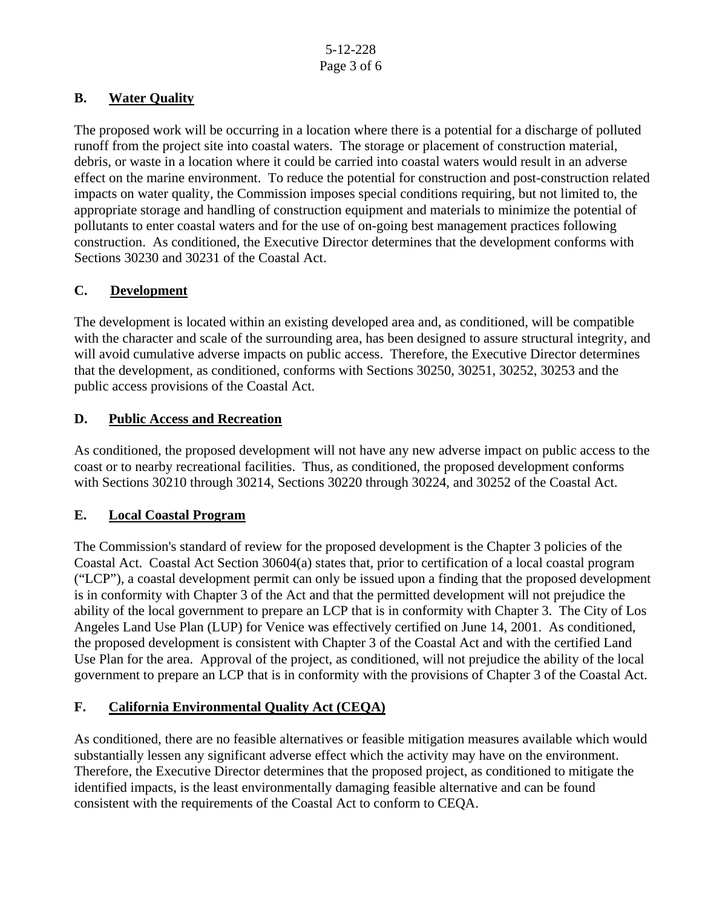### **B. Water Quality**

The proposed work will be occurring in a location where there is a potential for a discharge of polluted runoff from the project site into coastal waters. The storage or placement of construction material, debris, or waste in a location where it could be carried into coastal waters would result in an adverse effect on the marine environment. To reduce the potential for construction and post-construction related impacts on water quality, the Commission imposes special conditions requiring, but not limited to, the appropriate storage and handling of construction equipment and materials to minimize the potential of pollutants to enter coastal waters and for the use of on-going best management practices following construction. As conditioned, the Executive Director determines that the development conforms with Sections 30230 and 30231 of the Coastal Act.

### **C. Development**

The development is located within an existing developed area and, as conditioned, will be compatible with the character and scale of the surrounding area, has been designed to assure structural integrity, and will avoid cumulative adverse impacts on public access. Therefore, the Executive Director determines that the development, as conditioned, conforms with Sections 30250, 30251, 30252, 30253 and the public access provisions of the Coastal Act.

### **D. Public Access and Recreation**

As conditioned, the proposed development will not have any new adverse impact on public access to the coast or to nearby recreational facilities. Thus, as conditioned, the proposed development conforms with Sections 30210 through 30214, Sections 30220 through 30224, and 30252 of the Coastal Act.

### **E. Local Coastal Program**

The Commission's standard of review for the proposed development is the Chapter 3 policies of the Coastal Act. Coastal Act Section 30604(a) states that, prior to certification of a local coastal program ("LCP"), a coastal development permit can only be issued upon a finding that the proposed development is in conformity with Chapter 3 of the Act and that the permitted development will not prejudice the ability of the local government to prepare an LCP that is in conformity with Chapter 3. The City of Los Angeles Land Use Plan (LUP) for Venice was effectively certified on June 14, 2001. As conditioned, the proposed development is consistent with Chapter 3 of the Coastal Act and with the certified Land Use Plan for the area. Approval of the project, as conditioned, will not prejudice the ability of the local government to prepare an LCP that is in conformity with the provisions of Chapter 3 of the Coastal Act.

### **F. California Environmental Quality Act (CEQA)**

As conditioned, there are no feasible alternatives or feasible mitigation measures available which would substantially lessen any significant adverse effect which the activity may have on the environment. Therefore, the Executive Director determines that the proposed project, as conditioned to mitigate the identified impacts, is the least environmentally damaging feasible alternative and can be found consistent with the requirements of the Coastal Act to conform to CEQA.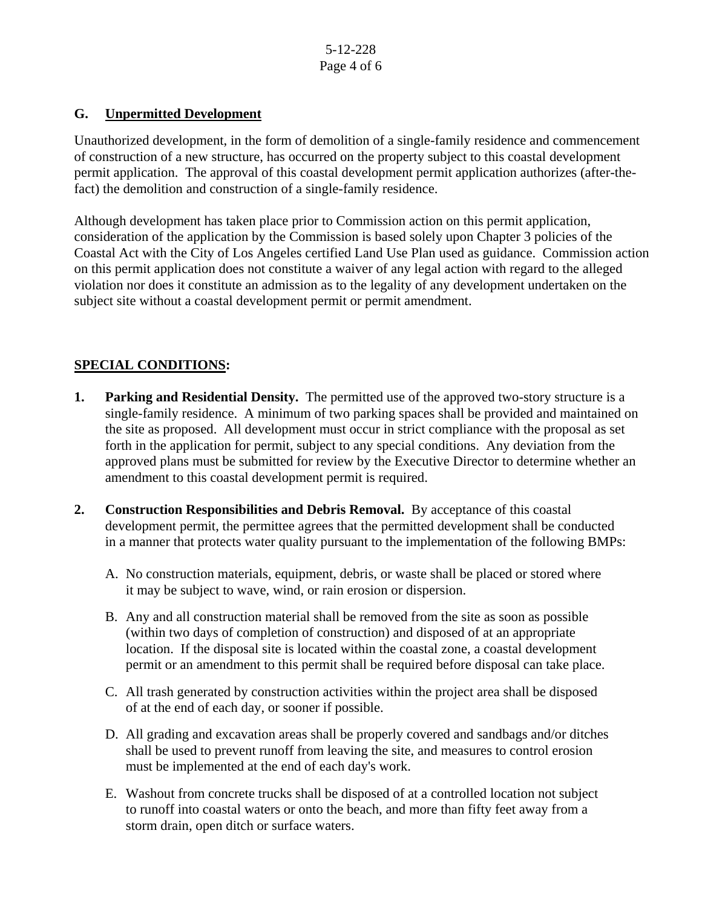5-12-228 Page 4 of 6

#### **G. Unpermitted Development**

Unauthorized development, in the form of demolition of a single-family residence and commencement of construction of a new structure, has occurred on the property subject to this coastal development permit application. The approval of this coastal development permit application authorizes (after-thefact) the demolition and construction of a single-family residence.

Although development has taken place prior to Commission action on this permit application, consideration of the application by the Commission is based solely upon Chapter 3 policies of the Coastal Act with the City of Los Angeles certified Land Use Plan used as guidance. Commission action on this permit application does not constitute a waiver of any legal action with regard to the alleged violation nor does it constitute an admission as to the legality of any development undertaken on the subject site without a coastal development permit or permit amendment.

### **SPECIAL CONDITIONS:**

- **1. Parking and Residential Density.** The permitted use of the approved two-story structure is a single-family residence. A minimum of two parking spaces shall be provided and maintained on the site as proposed. All development must occur in strict compliance with the proposal as set forth in the application for permit, subject to any special conditions. Any deviation from the approved plans must be submitted for review by the Executive Director to determine whether an amendment to this coastal development permit is required.
- **2. Construction Responsibilities and Debris Removal.** By acceptance of this coastal development permit, the permittee agrees that the permitted development shall be conducted in a manner that protects water quality pursuant to the implementation of the following BMPs:
	- A. No construction materials, equipment, debris, or waste shall be placed or stored where it may be subject to wave, wind, or rain erosion or dispersion.
	- B. Any and all construction material shall be removed from the site as soon as possible (within two days of completion of construction) and disposed of at an appropriate location. If the disposal site is located within the coastal zone, a coastal development permit or an amendment to this permit shall be required before disposal can take place.
	- C. All trash generated by construction activities within the project area shall be disposed of at the end of each day, or sooner if possible.
	- D. All grading and excavation areas shall be properly covered and sandbags and/or ditches shall be used to prevent runoff from leaving the site, and measures to control erosion must be implemented at the end of each day's work.
	- E. Washout from concrete trucks shall be disposed of at a controlled location not subject to runoff into coastal waters or onto the beach, and more than fifty feet away from a storm drain, open ditch or surface waters.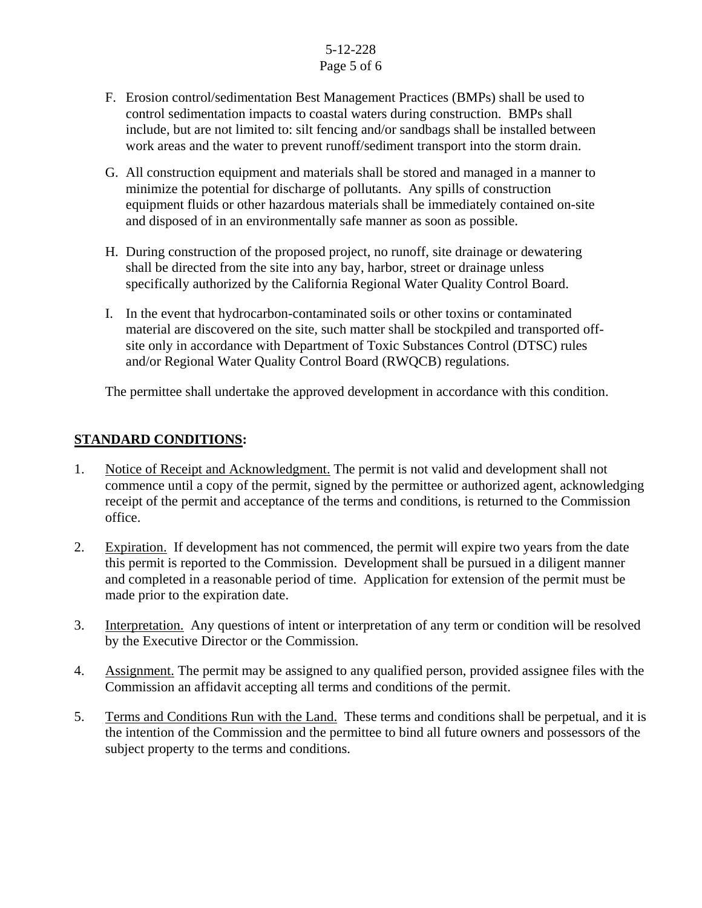### 5-12-228 Page 5 of 6

- F. Erosion control/sedimentation Best Management Practices (BMPs) shall be used to control sedimentation impacts to coastal waters during construction. BMPs shall include, but are not limited to: silt fencing and/or sandbags shall be installed between work areas and the water to prevent runoff/sediment transport into the storm drain.
- G. All construction equipment and materials shall be stored and managed in a manner to minimize the potential for discharge of pollutants. Any spills of construction equipment fluids or other hazardous materials shall be immediately contained on-site and disposed of in an environmentally safe manner as soon as possible.
- H. During construction of the proposed project, no runoff, site drainage or dewatering shall be directed from the site into any bay, harbor, street or drainage unless specifically authorized by the California Regional Water Quality Control Board.
- I. In the event that hydrocarbon-contaminated soils or other toxins or contaminated material are discovered on the site, such matter shall be stockpiled and transported offsite only in accordance with Department of Toxic Substances Control (DTSC) rules and/or Regional Water Quality Control Board (RWQCB) regulations.

The permittee shall undertake the approved development in accordance with this condition.

### **STANDARD CONDITIONS:**

- 1. Notice of Receipt and Acknowledgment. The permit is not valid and development shall not commence until a copy of the permit, signed by the permittee or authorized agent, acknowledging receipt of the permit and acceptance of the terms and conditions, is returned to the Commission office.
- 2. Expiration. If development has not commenced, the permit will expire two years from the date this permit is reported to the Commission. Development shall be pursued in a diligent manner and completed in a reasonable period of time. Application for extension of the permit must be made prior to the expiration date.
- 3. Interpretation. Any questions of intent or interpretation of any term or condition will be resolved by the Executive Director or the Commission.
- 4. Assignment. The permit may be assigned to any qualified person, provided assignee files with the Commission an affidavit accepting all terms and conditions of the permit.
- 5. Terms and Conditions Run with the Land. These terms and conditions shall be perpetual, and it is the intention of the Commission and the permittee to bind all future owners and possessors of the subject property to the terms and conditions.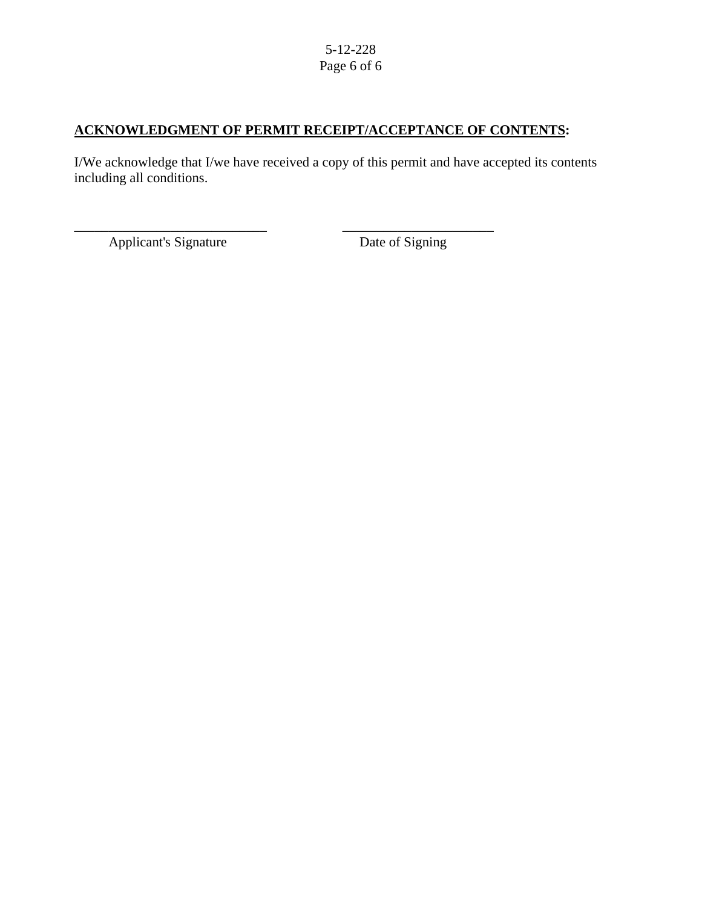#### 5-12-228 Page 6 of 6

## **ACKNOWLEDGMENT OF PERMIT RECEIPT/ACCEPTANCE OF CONTENTS:**

\_\_\_\_\_\_\_\_\_\_\_\_\_\_\_\_\_\_\_\_\_\_\_\_\_\_\_\_ \_\_\_\_\_\_\_\_\_\_\_\_\_\_\_\_\_\_\_\_\_\_

I/We acknowledge that I/we have received a copy of this permit and have accepted its contents including all conditions.

Applicant's Signature Date of Signing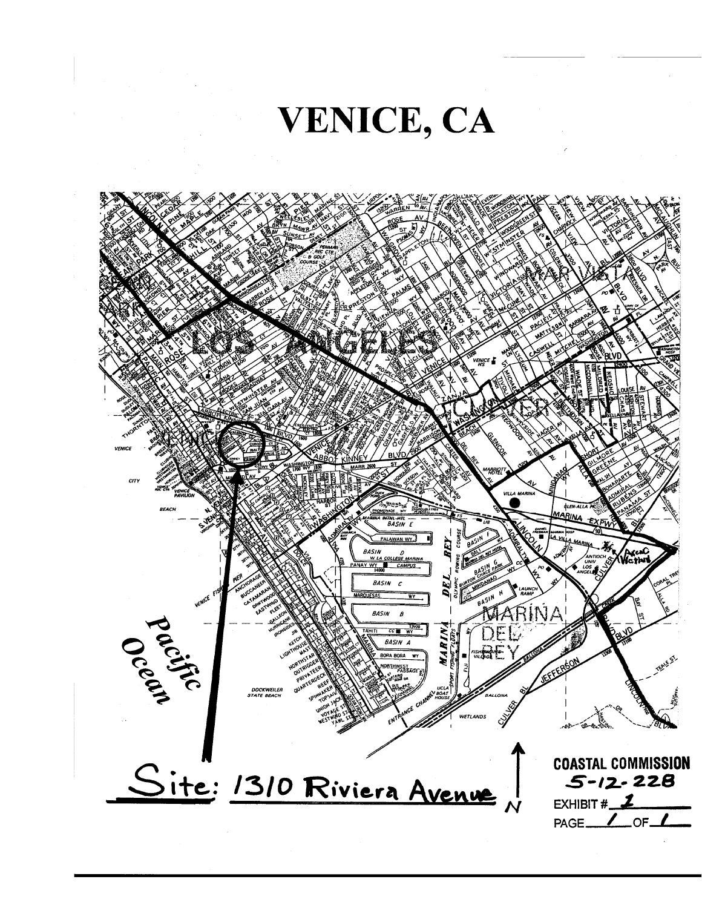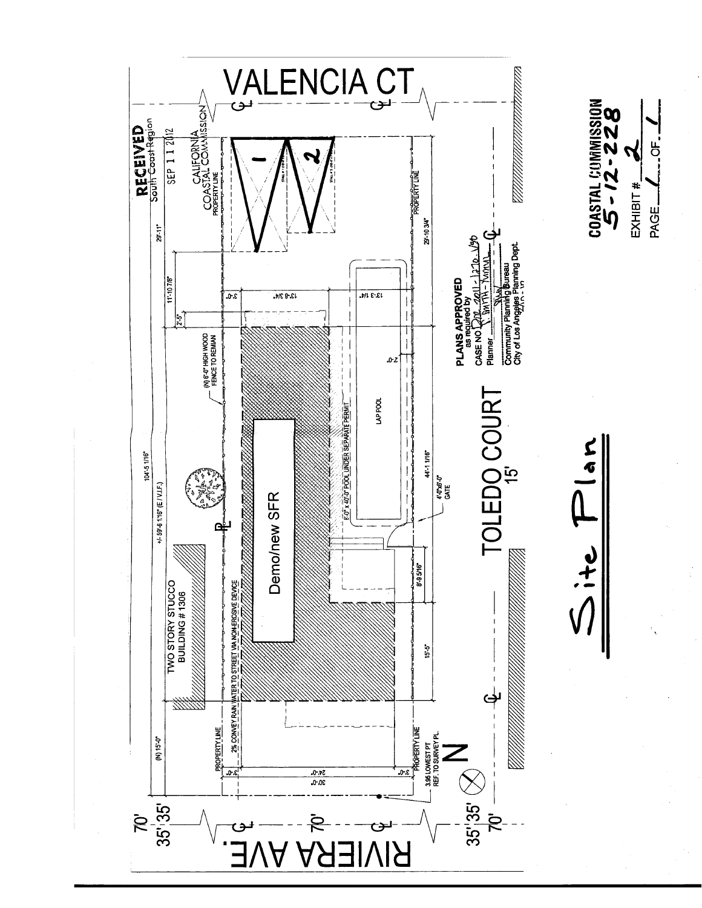

 $\overline{a}$ 

EXHIBIT #. PAGE.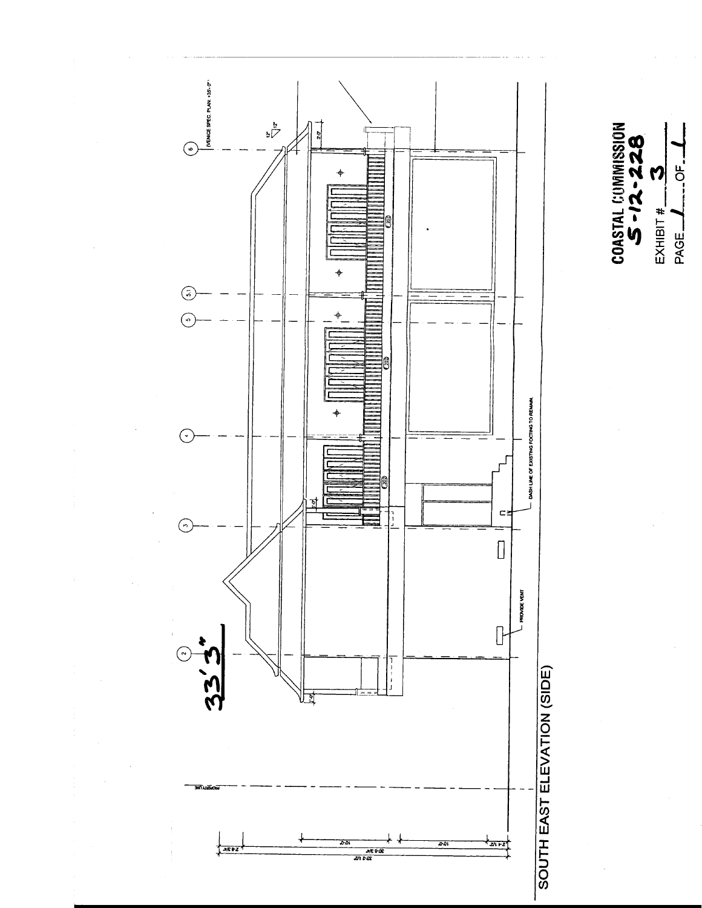